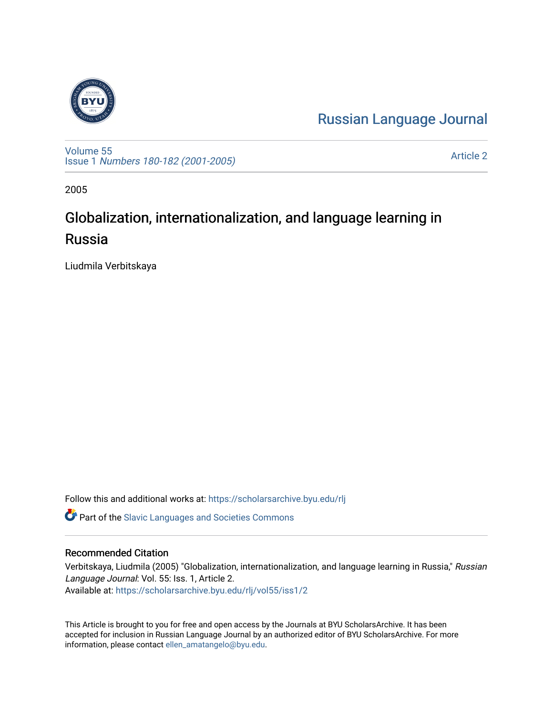

[Russian Language Journal](https://scholarsarchive.byu.edu/rlj) 

[Volume 55](https://scholarsarchive.byu.edu/rlj/vol55) Issue 1 [Numbers 180-182 \(2001-2005\)](https://scholarsarchive.byu.edu/rlj/vol55/iss1)

[Article 2](https://scholarsarchive.byu.edu/rlj/vol55/iss1/2) 

2005

# Globalization, internationalization, and language learning in Russia

Liudmila Verbitskaya

Follow this and additional works at: [https://scholarsarchive.byu.edu/rlj](https://scholarsarchive.byu.edu/rlj?utm_source=scholarsarchive.byu.edu%2Frlj%2Fvol55%2Fiss1%2F2&utm_medium=PDF&utm_campaign=PDFCoverPages)

**C** Part of the Slavic Languages and Societies Commons

# Recommended Citation

Verbitskaya, Liudmila (2005) "Globalization, internationalization, and language learning in Russia," Russian Language Journal: Vol. 55: Iss. 1, Article 2. Available at: [https://scholarsarchive.byu.edu/rlj/vol55/iss1/2](https://scholarsarchive.byu.edu/rlj/vol55/iss1/2?utm_source=scholarsarchive.byu.edu%2Frlj%2Fvol55%2Fiss1%2F2&utm_medium=PDF&utm_campaign=PDFCoverPages) 

This Article is brought to you for free and open access by the Journals at BYU ScholarsArchive. It has been accepted for inclusion in Russian Language Journal by an authorized editor of BYU ScholarsArchive. For more information, please contact [ellen\\_amatangelo@byu.edu.](mailto:ellen_amatangelo@byu.edu)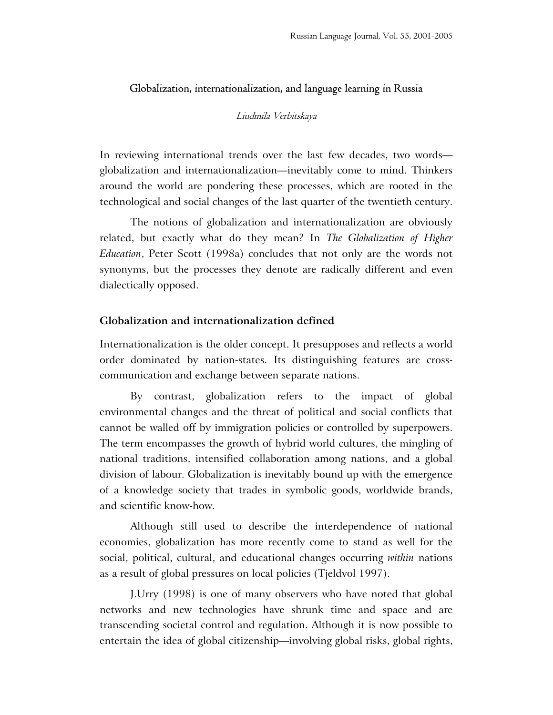## Globalization, internationalization, and language learning in Russia

#### Liudmila Verbitskaya

In reviewing international trends over the last few decades, two words globalization and internationalization—inevitably come to mind. Thinkers around the world are pondering these processes, which are rooted in the technological and social changes of the last quarter of the twentieth century.

The notions of globalization and internationalization are obviously related, but exactly what do they mean? In *The Globalization of Higher Education*, Peter Scott (1998a) concludes that not only are the words not synonyms, but the processes they denote are radically different and even dialectically opposed.

### **Globalization and internationalization defined**

Internationalization is the older concept. It presupposes and reflects a world order dominated by nation-states. Its distinguishing features are crosscommunication and exchange between separate nations.

By contrast, globalization refers to the impact of global environmental changes and the threat of political and social conflicts that cannot be walled off by immigration policies or controlled by superpowers. The term encompasses the growth of hybrid world cultures, the mingling of national traditions, intensified collaboration among nations, and a global division of labour. Globalization is inevitably bound up with the emergence of a knowledge society that trades in symbolic goods, worldwide brands, and scientific know-how.

Although still used to describe the interdependence of national economies, globalization has more recently come to stand as well for the social, political, cultural, and educational changes occurring *within* nations as a result of global pressures on local policies (Tjeldvol 1997).

J.Urry (1998) is one of many observers who have noted that global networks and new technologies have shrunk time and space and are transcending societal control and regulation. Although it is now possible to entertain the idea of global citizenship—involving global risks, global rights,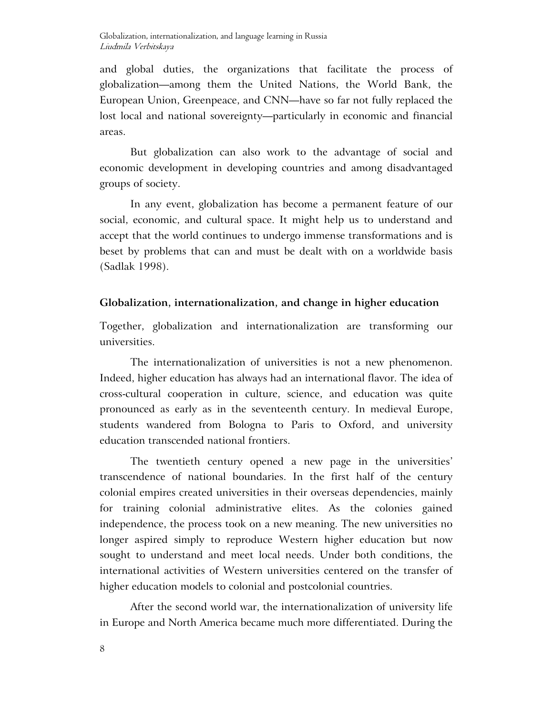and global duties, the organizations that facilitate the process of globalization—among them the United Nations, the World Bank, the European Union, Greenpeace, and CNN—have so far not fully replaced the lost local and national sovereignty—particularly in economic and financial areas.

But globalization can also work to the advantage of social and economic development in developing countries and among disadvantaged groups of society.

In any event, globalization has become a permanent feature of our social, economic, and cultural space. It might help us to understand and accept that the world continues to undergo immense transformations and is beset by problems that can and must be dealt with on a worldwide basis (Sadlak 1998).

# **Globalization, internationalization, and change in higher education**

Together, globalization and internationalization are transforming our universities.

The internationalization of universities is not a new phenomenon. Indeed, higher education has always had an international flavor. The idea of cross-cultural cooperation in culture, science, and education was quite pronounced as early as in the seventeenth century. In medieval Europe, students wandered from Bologna to Paris to Oxford, and university education transcended national frontiers.

The twentieth century opened a new page in the universities' transcendence of national boundaries. In the first half of the century colonial empires created universities in their overseas dependencies, mainly for training colonial administrative elites. As the colonies gained independence, the process took on a new meaning. The new universities no longer aspired simply to reproduce Western higher education but now sought to understand and meet local needs. Under both conditions, the international activities of Western universities centered on the transfer of higher education models to colonial and postcolonial countries.

After the second world war, the internationalization of university life in Europe and North America became much more differentiated. During the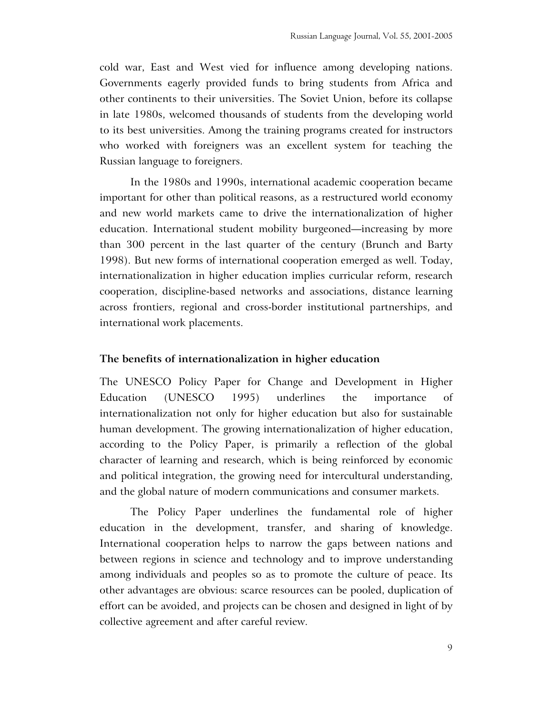cold war, East and West vied for influence among developing nations. Governments eagerly provided funds to bring students from Africa and other continents to their universities. The Soviet Union, before its collapse in late 1980s, welcomed thousands of students from the developing world to its best universities. Among the training programs created for instructors who worked with foreigners was an excellent system for teaching the Russian language to foreigners.

In the 1980s and 1990s, international academic cooperation became important for other than political reasons, as a restructured world economy and new world markets came to drive the internationalization of higher education. International student mobility burgeoned—increasing by more than 300 percent in the last quarter of the century (Brunch and Barty 1998). But new forms of international cooperation emerged as well. Today, internationalization in higher education implies curricular reform, research cooperation, discipline-based networks and associations, distance learning across frontiers, regional and cross-border institutional partnerships, and international work placements.

#### **The benefits of internationalization in higher education**

The UNESCO Policy Paper for Change and Development in Higher Education (UNESCO 1995) underlines the importance of internationalization not only for higher education but also for sustainable human development. The growing internationalization of higher education, according to the Policy Paper, is primarily a reflection of the global character of learning and research, which is being reinforced by economic and political integration, the growing need for intercultural understanding, and the global nature of modern communications and consumer markets.

The Policy Paper underlines the fundamental role of higher education in the development, transfer, and sharing of knowledge. International cooperation helps to narrow the gaps between nations and between regions in science and technology and to improve understanding among individuals and peoples so as to promote the culture of peace. Its other advantages are obvious: scarce resources can be pooled, duplication of effort can be avoided, and projects can be chosen and designed in light of by collective agreement and after careful review.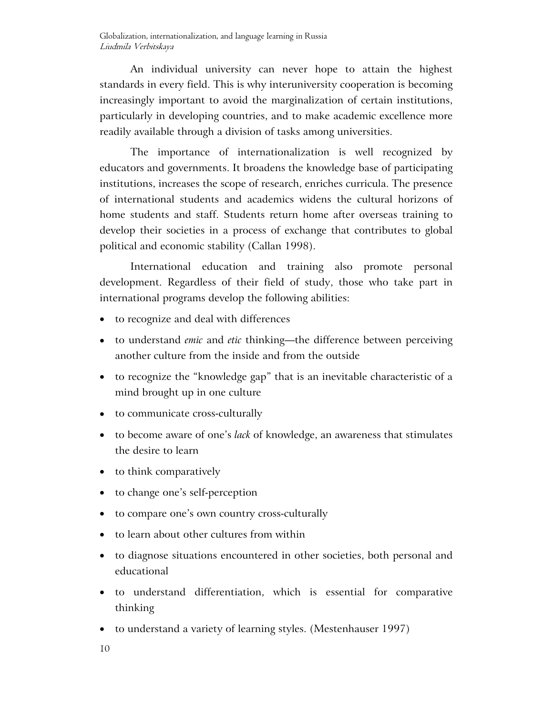An individual university can never hope to attain the highest standards in every field. This is why interuniversity cooperation is becoming increasingly important to avoid the marginalization of certain institutions, particularly in developing countries, and to make academic excellence more readily available through a division of tasks among universities.

The importance of internationalization is well recognized by educators and governments. It broadens the knowledge base of participating institutions, increases the scope of research, enriches curricula. The presence of international students and academics widens the cultural horizons of home students and staff. Students return home after overseas training to develop their societies in a process of exchange that contributes to global political and economic stability (Callan 1998).

International education and training also promote personal development. Regardless of their field of study, those who take part in international programs develop the following abilities:

- to recognize and deal with differences
- to understand *emic* and *etic* thinking—the difference between perceiving another culture from the inside and from the outside
- to recognize the "knowledge gap" that is an inevitable characteristic of a mind brought up in one culture
- to communicate cross-culturally
- to become aware of one's *lack* of knowledge, an awareness that stimulates the desire to learn
- to think comparatively
- to change one's self-perception
- to compare one's own country cross-culturally
- to learn about other cultures from within
- to diagnose situations encountered in other societies, both personal and educational
- to understand differentiation, which is essential for comparative thinking
- to understand a variety of learning styles. (Mestenhauser 1997)
- 10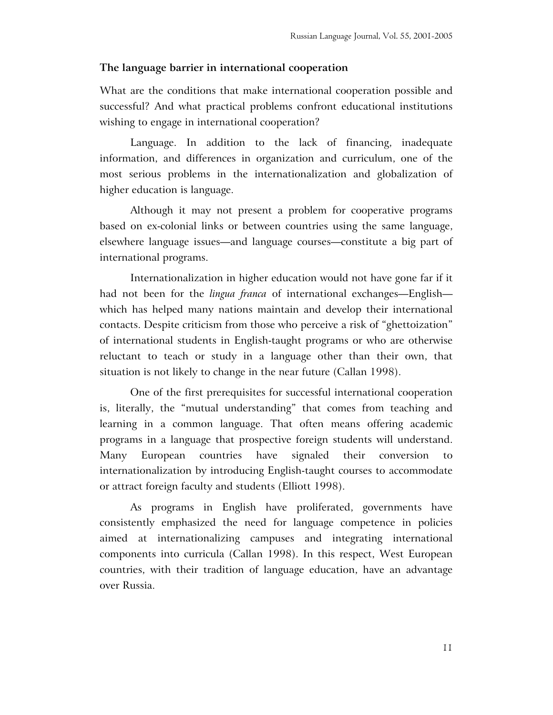## **The language barrier in international cooperation**

What are the conditions that make international cooperation possible and successful? And what practical problems confront educational institutions wishing to engage in international cooperation?

Language. In addition to the lack of financing, inadequate information, and differences in organization and curriculum, one of the most serious problems in the internationalization and globalization of higher education is language.

Although it may not present a problem for cooperative programs based on ex-colonial links or between countries using the same language, elsewhere language issues—and language courses—constitute a big part of international programs.

Internationalization in higher education would not have gone far if it had not been for the *lingua franca* of international exchanges—English which has helped many nations maintain and develop their international contacts. Despite criticism from those who perceive a risk of "ghettoization" of international students in English-taught programs or who are otherwise reluctant to teach or study in a language other than their own, that situation is not likely to change in the near future (Callan 1998).

One of the first prerequisites for successful international cooperation is, literally, the "mutual understanding" that comes from teaching and learning in a common language. That often means offering academic programs in a language that prospective foreign students will understand. Many European countries have signaled their conversion to internationalization by introducing English-taught courses to accommodate or attract foreign faculty and students (Elliott 1998).

As programs in English have proliferated, governments have consistently emphasized the need for language competence in policies aimed at internationalizing campuses and integrating international components into curricula (Callan 1998). In this respect, West European countries, with their tradition of language education, have an advantage over Russia.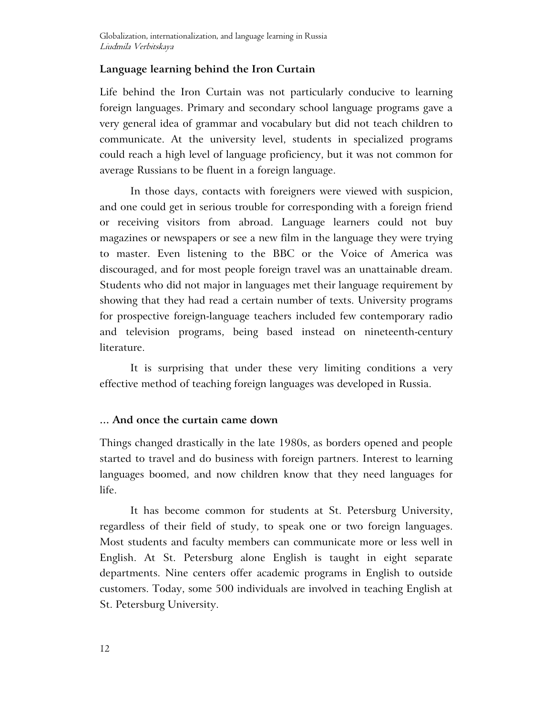# **Language learning behind the Iron Curtain**

Life behind the Iron Curtain was not particularly conducive to learning foreign languages. Primary and secondary school language programs gave a very general idea of grammar and vocabulary but did not teach children to communicate. At the university level, students in specialized programs could reach a high level of language proficiency, but it was not common for average Russians to be fluent in a foreign language.

In those days, contacts with foreigners were viewed with suspicion, and one could get in serious trouble for corresponding with a foreign friend or receiving visitors from abroad. Language learners could not buy magazines or newspapers or see a new film in the language they were trying to master. Even listening to the BBC or the Voice of America was discouraged, and for most people foreign travel was an unattainable dream. Students who did not major in languages met their language requirement by showing that they had read a certain number of texts. University programs for prospective foreign-language teachers included few contemporary radio and television programs, being based instead on nineteenth-century literature.

It is surprising that under these very limiting conditions a very effective method of teaching foreign languages was developed in Russia.

# **... And once the curtain came down**

Things changed drastically in the late 1980s, as borders opened and people started to travel and do business with foreign partners. Interest to learning languages boomed, and now children know that they need languages for life.

It has become common for students at St. Petersburg University, regardless of their field of study, to speak one or two foreign languages. Most students and faculty members can communicate more or less well in English. At St. Petersburg alone English is taught in eight separate departments. Nine centers offer academic programs in English to outside customers. Today, some 500 individuals are involved in teaching English at St. Petersburg University.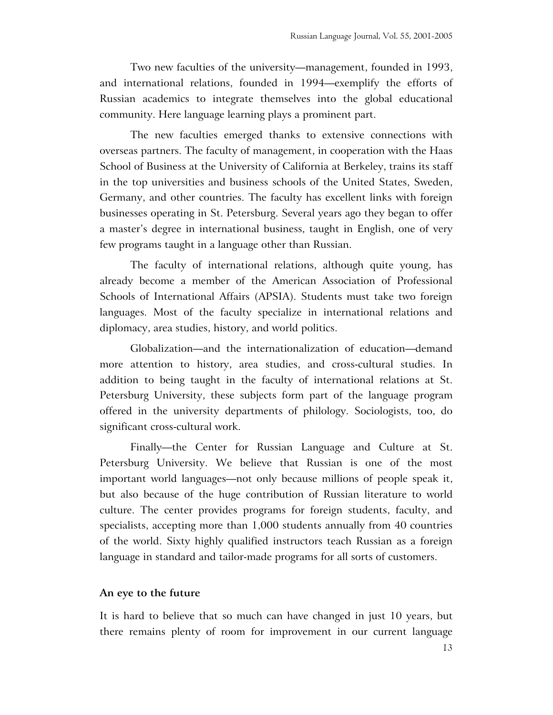Two new faculties of the university—management, founded in 1993, and international relations, founded in 1994—exemplify the efforts of Russian academics to integrate themselves into the global educational community. Here language learning plays a prominent part.

The new faculties emerged thanks to extensive connections with overseas partners. The faculty of management, in cooperation with the Haas School of Business at the University of California at Berkeley, trains its staff in the top universities and business schools of the United States, Sweden, Germany, and other countries. The faculty has excellent links with foreign businesses operating in St. Petersburg. Several years ago they began to offer a master's degree in international business, taught in English, one of very few programs taught in a language other than Russian.

The faculty of international relations, although quite young, has already become a member of the American Association of Professional Schools of International Affairs (APSIA). Students must take two foreign languages. Most of the faculty specialize in international relations and diplomacy, area studies, history, and world politics.

Globalization—and the internationalization of education—demand more attention to history, area studies, and cross-cultural studies. In addition to being taught in the faculty of international relations at St. Petersburg University, these subjects form part of the language program offered in the university departments of philology. Sociologists, too, do significant cross-cultural work.

Finally—the Center for Russian Language and Culture at St. Petersburg University. We believe that Russian is one of the most important world languages—not only because millions of people speak it, but also because of the huge contribution of Russian literature to world culture. The center provides programs for foreign students, faculty, and specialists, accepting more than 1,000 students annually from 40 countries of the world. Sixty highly qualified instructors teach Russian as a foreign language in standard and tailor-made programs for all sorts of customers.

#### **An eye to the future**

It is hard to believe that so much can have changed in just 10 years, but there remains plenty of room for improvement in our current language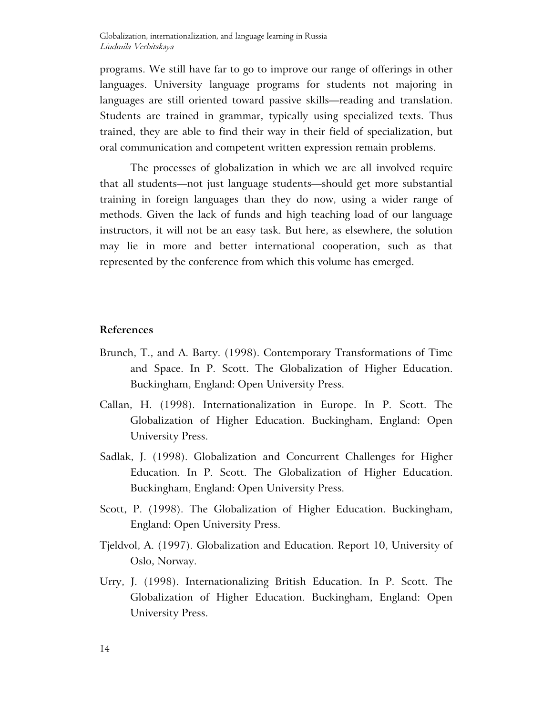programs. We still have far to go to improve our range of offerings in other languages. University language programs for students not majoring in languages are still oriented toward passive skills—reading and translation. Students are trained in grammar, typically using specialized texts. Thus trained, they are able to find their way in their field of specialization, but oral communication and competent written expression remain problems.

The processes of globalization in which we are all involved require that all students—not just language students—should get more substantial training in foreign languages than they do now, using a wider range of methods. Given the lack of funds and high teaching load of our language instructors, it will not be an easy task. But here, as elsewhere, the solution may lie in more and better international cooperation, such as that represented by the conference from which this volume has emerged.

## **References**

- Brunch, T., and A. Barty. (1998). Contemporary Transformations of Time and Space. In P. Scott. The Globalization of Higher Education. Buckingham, England: Open University Press.
- Callan, H. (1998). Internationalization in Europe. In P. Scott. The Globalization of Higher Education. Buckingham, England: Open University Press.
- Sadlak, J. (1998). Globalization and Concurrent Challenges for Higher Education. In P. Scott. The Globalization of Higher Education. Buckingham, England: Open University Press.
- Scott, P. (1998). The Globalization of Higher Education. Buckingham, England: Open University Press.
- Tjeldvol, A. (1997). Globalization and Education. Report 10, University of Oslo, Norway.
- Urry, J. (1998). Internationalizing British Education. In P. Scott. The Globalization of Higher Education. Buckingham, England: Open University Press.